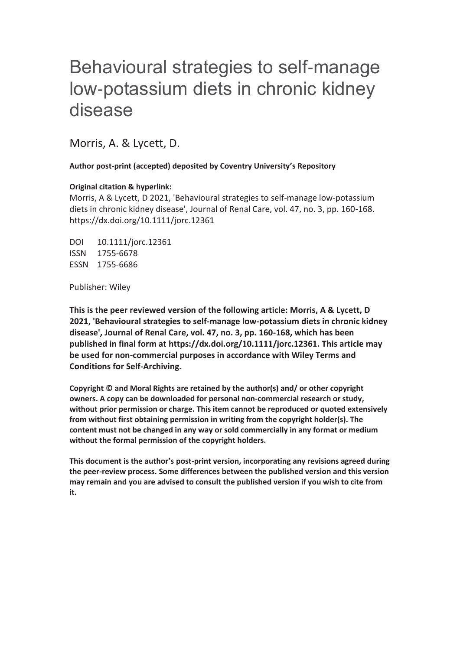# Behavioural strategies to self-manage low-potassium diets in chronic kidney disease

Morris, A. & Lycett, D.

**Author post-print (accepted) deposited by Coventry University's Repository** 

# **Original citation & hyperlink:**

Morris, A & Lycett, D 2021, 'Behavioural strategies to self-manage low-potassium diets in chronic kidney disease', Journal of Renal Care, vol. 47, no. 3, pp. 160-168. https://dx.doi.org/10.1111/jorc.12361

DOI 10.1111/jorc.12361 ISSN 1755-6678 ESSN 1755-6686

Publisher: Wiley

**This is the peer reviewed version of the following article: Morris, A & Lycett, D 2021, 'Behavioural strategies to self-manage low-potassium diets in chronic kidney disease', Journal of Renal Care, vol. 47, no. 3, pp. 160-168, which has been published in final form at https://dx.doi.org/10.1111/jorc.12361. This article may be used for non-commercial purposes in accordance with Wiley Terms and Conditions for Self-Archiving.** 

**Copyright © and Moral Rights are retained by the author(s) and/ or other copyright owners. A copy can be downloaded for personal non-commercial research or study, without prior permission or charge. This item cannot be reproduced or quoted extensively from without first obtaining permission in writing from the copyright holder(s). The content must not be changed in any way or sold commercially in any format or medium without the formal permission of the copyright holders.** 

**This document is the author's post-print version, incorporating any revisions agreed during the peer-review process. Some differences between the published version and this version may remain and you are advised to consult the published version if you wish to cite from it.**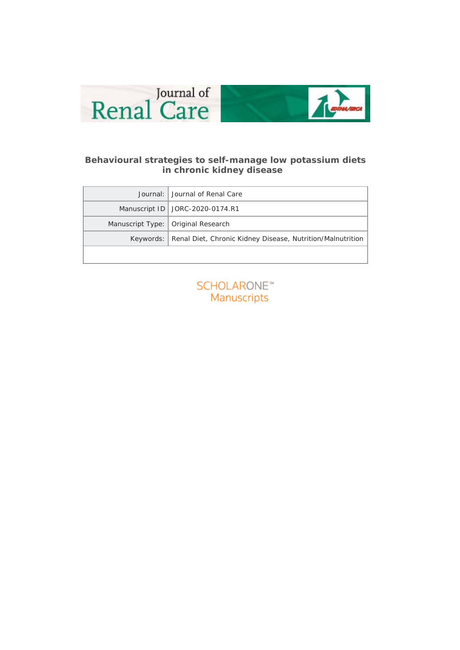



# **Behavioural strategies to self-manage low potassium diets in chronic kidney disease**

| Journal: <i>Journal of Renal Care</i>                                  |
|------------------------------------------------------------------------|
| Manuscript ID   JORC-2020-0174.R1                                      |
| Manuscript Type:   Original Research                                   |
| Keywords:   Renal Diet, Chronic Kidney Disease, Nutrition/Malnutrition |
|                                                                        |

**SCHOLARONE™** Manuscripts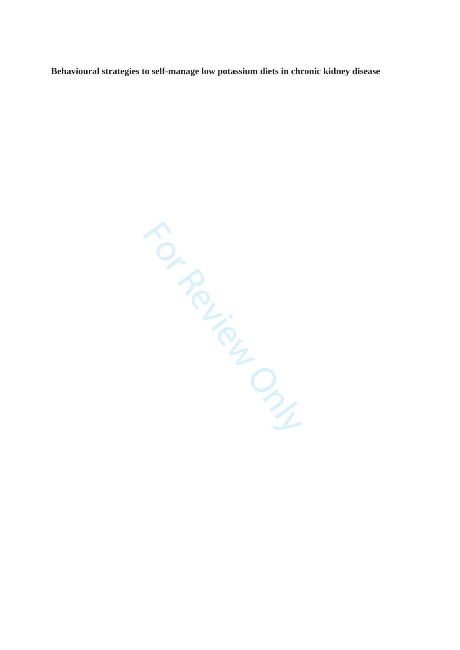**Behavioural strategies to self-manage low potassium diets in chronic kidney disease** 

For Review Only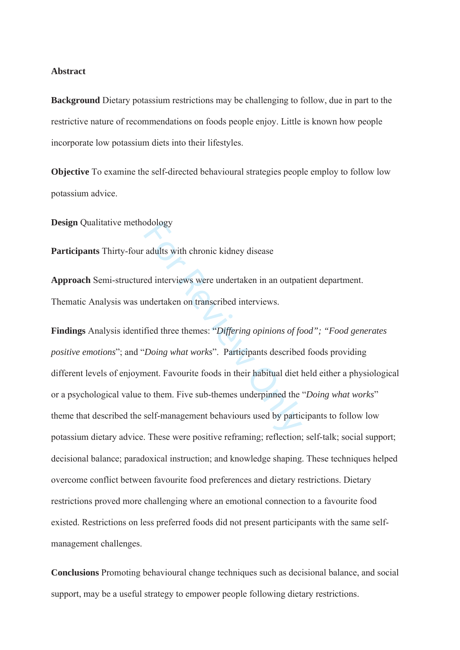#### **Abstract**

**Background** Dietary potassium restrictions may be challenging to follow, due in part to the restrictive nature of recommendations on foods people enjoy. Little is known how people incorporate low potassium diets into their lifestyles.

**Objective** To examine the self-directed behavioural strategies people employ to follow low potassium advice.

**Design** Qualitative methodology

**Participants** Thirty-four adults with chronic kidney disease

**Approach** Semi-structured interviews were undertaken in an outpatient department. Thematic Analysis was undertaken on transcribed interviews.

between adults with chronic kidney disease<br>ed interviews were undertaken in an outpat<br>indertaken on transcribed interviews.<br>fied three themes: "*Differing opinions of fo*<br>f*Doing what works*". Participants described<br>nent. **Findings** Analysis identified three themes: "*Differing opinions of food"; "Food generates positive emotions*"; and "*Doing what works*". Participants described foods providing different levels of enjoyment. Favourite foods in their habitual diet held either a physiological or a psychological value to them. Five sub-themes underpinned the "*Doing what works*" theme that described the self-management behaviours used by participants to follow low potassium dietary advice. These were positive reframing; reflection; self-talk; social support; decisional balance; paradoxical instruction; and knowledge shaping. These techniques helped overcome conflict between favourite food preferences and dietary restrictions. Dietary restrictions proved more challenging where an emotional connection to a favourite food existed. Restrictions on less preferred foods did not present participants with the same selfmanagement challenges.

**Conclusions** Promoting behavioural change techniques such as decisional balance, and social support, may be a useful strategy to empower people following dietary restrictions.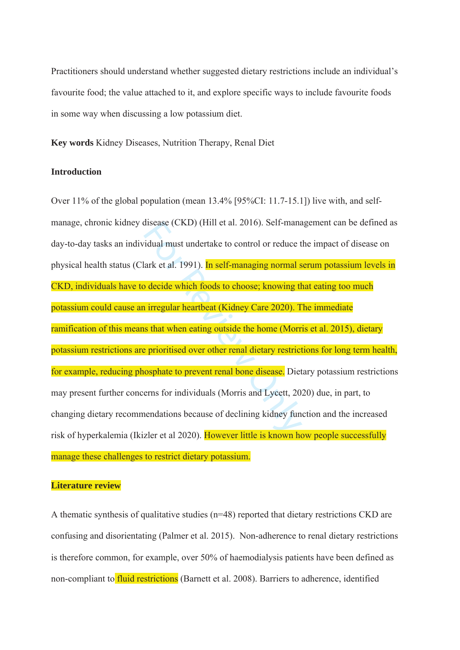Practitioners should understand whether suggested dietary restrictions include an individual's favourite food; the value attached to it, and explore specific ways to include favourite foods in some way when discussing a low potassium diet.

**Key words** Kidney Diseases, Nutrition Therapy, Renal Diet

#### **Introduction**

disease (CKD) (Hill et al. 2016). Self-mana<br>idual must undertake to control or reduce t<br>lark et al. 1991). In self-managing normal s<br>b decide which foods to choose; knowing th<br>i irregular heartbeat (Kidney Care 2020). T<br>is Over 11% of the global population (mean 13.4% [95%CI: 11.7-15.1]) live with, and selfmanage, chronic kidney disease (CKD) (Hill et al. 2016). Self-management can be defined as day-to-day tasks an individual must undertake to control or reduce the impact of disease on physical health status (Clark et al. 1991). In self-managing normal serum potassium levels in CKD, individuals have to decide which foods to choose; knowing that eating too much potassium could cause an irregular heartbeat (Kidney Care 2020). The immediate ramification of this means that when eating outside the home (Morris et al. 2015), dietary potassium restrictions are prioritised over other renal dietary restrictions for long term health, for example, reducing phosphate to prevent renal bone disease. Dietary potassium restrictions may present further concerns for individuals (Morris and Lycett, 2020) due, in part, to changing dietary recommendations because of declining kidney function and the increased risk of hyperkalemia (Ikizler et al 2020). However little is known how people successfully manage these challenges to restrict dietary potassium.

#### **Literature review**

A thematic synthesis of qualitative studies (n=48) reported that dietary restrictions CKD are confusing and disorientating (Palmer et al. 2015). Non-adherence to renal dietary restrictions is therefore common, for example, over 50% of haemodialysis patients have been defined as non-compliant to fluid restrictions (Barnett et al. 2008). Barriers to adherence, identified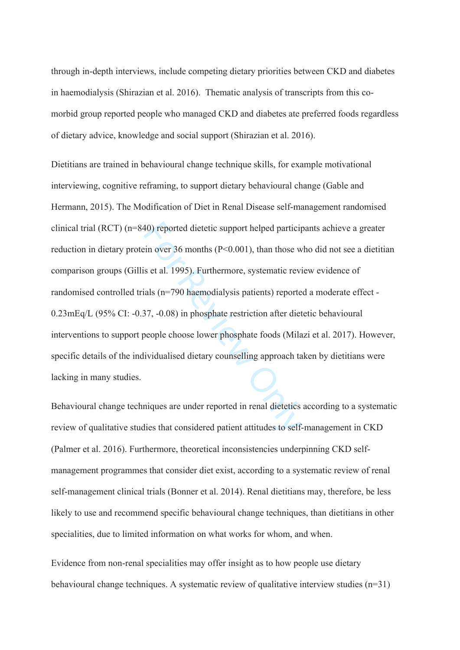through in-depth interviews, include competing dietary priorities between CKD and diabetes in haemodialysis (Shirazian et al. 2016). Thematic analysis of transcripts from this comorbid group reported people who managed CKD and diabetes ate preferred foods regardless of dietary advice, knowledge and social support (Shirazian et al. 2016).

40) reported dietetic support helped particip<br>
ein over 36 months (P<0.001), than those w<br>
s et al. 1995). Furthermore, systematic revi<br>
ials (n=790 haemodialysis patients) reporte<br>
37, -0.08) in phosphate restriction afte Dietitians are trained in behavioural change technique skills, for example motivational interviewing, cognitive reframing, to support dietary behavioural change (Gable and Hermann, 2015). The Modification of Diet in Renal Disease self-management randomised clinical trial (RCT) (n=840) reported dietetic support helped participants achieve a greater reduction in dietary protein over 36 months (P<0.001), than those who did not see a dietitian comparison groups (Gillis et al. 1995). Furthermore, systematic review evidence of randomised controlled trials (n=790 haemodialysis patients) reported a moderate effect - 0.23mEq/L (95% CI: -0.37, -0.08) in phosphate restriction after dietetic behavioural interventions to support people choose lower phosphate foods (Milazi et al. 2017). However, specific details of the individualised dietary counselling approach taken by dietitians were lacking in many studies.

Behavioural change techniques are under reported in renal dietetics according to a systematic review of qualitative studies that considered patient attitudes to self-management in CKD (Palmer et al. 2016). Furthermore, theoretical inconsistencies underpinning CKD selfmanagement programmes that consider diet exist, according to a systematic review of renal self-management clinical trials (Bonner et al. 2014). Renal dietitians may, therefore, be less likely to use and recommend specific behavioural change techniques, than dietitians in other specialities, due to limited information on what works for whom, and when.

Evidence from non-renal specialities may offer insight as to how people use dietary behavioural change techniques. A systematic review of qualitative interview studies (n=31)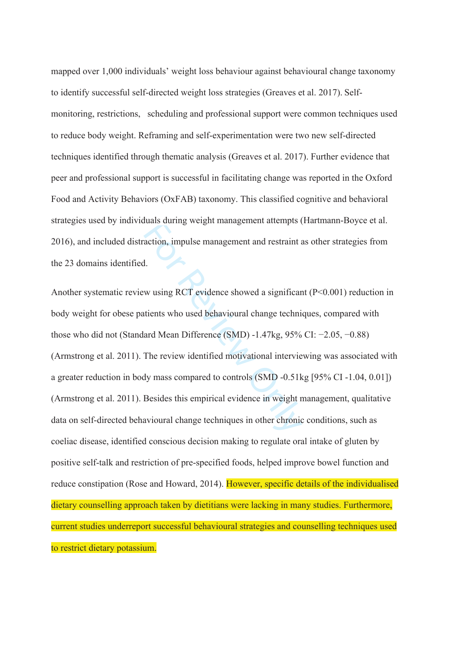mapped over 1,000 individuals' weight loss behaviour against behavioural change taxonomy to identify successful self-directed weight loss strategies (Greaves et al. 2017). Selfmonitoring, restrictions, scheduling and professional support were common techniques used to reduce body weight. Reframing and self-experimentation were two new self-directed techniques identified through thematic analysis (Greaves et al. 2017). Further evidence that peer and professional support is successful in facilitating change was reported in the Oxford Food and Activity Behaviors (OxFAB) taxonomy. This classified cognitive and behavioral strategies used by individuals during weight management attempts (Hartmann-Boyce et al. 2016), and included distraction, impulse management and restraint as other strategies from the 23 domains identified.

Maas during weight management and restraint and<br>action, impulse management and restraint and<br>1.<br>w using RCT evidence showed a significant<br>tients who used behavioural change technic<br>ard Mean Difference (SMD) -1.47kg, 95%<br>Th Another systematic review using RCT evidence showed a significant (P<0.001) reduction in body weight for obese patients who used behavioural change techniques, compared with those who did not (Standard Mean Difference (SMD) -1.47kg, 95% CI: −2.05, −0.88) (Armstrong et al. 2011). The review identified motivational interviewing was associated with a greater reduction in body mass compared to controls (SMD -0.51kg [95% CI -1.04, 0.01]) (Armstrong et al. 2011). Besides this empirical evidence in weight management, qualitative data on self-directed behavioural change techniques in other chronic conditions, such as coeliac disease, identified conscious decision making to regulate oral intake of gluten by positive self-talk and restriction of pre-specified foods, helped improve bowel function and reduce constipation (Rose and Howard, 2014). However, specific details of the individualised dietary counselling approach taken by dietitians were lacking in many studies. Furthermore, current studies underreport successful behavioural strategies and counselling techniques used to restrict dietary potassium.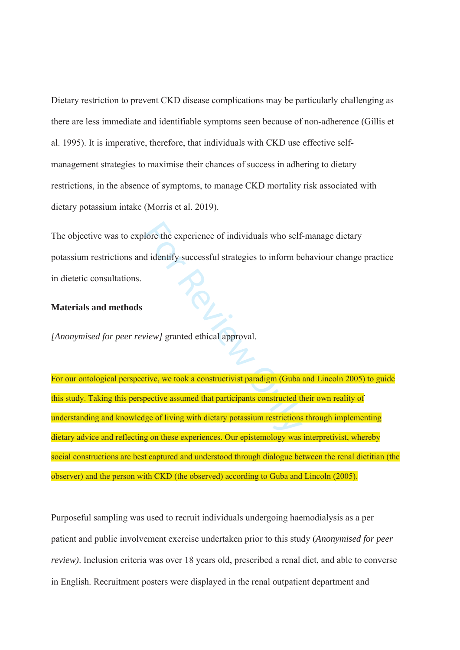Dietary restriction to prevent CKD disease complications may be particularly challenging as there are less immediate and identifiable symptoms seen because of non-adherence (Gillis et al. 1995). It is imperative, therefore, that individuals with CKD use effective selfmanagement strategies to maximise their chances of success in adhering to dietary restrictions, in the absence of symptoms, to manage CKD mortality risk associated with dietary potassium intake (Morris et al. 2019).

The objective was to explore the experience of individuals who self-manage dietary potassium restrictions and identify successful strategies to inform behaviour change practice in dietetic consultations.

#### **Materials and methods**

*[Anonymised for peer review]* granted ethical approval.

lore the experience of individuals who self-<br>
d identify successful strategies to inform be<br>
view granted ethical approval.<br>
<br>
wiew granted ethical approval.<br>
<br>
<br>
<br>
Similarly provals are experiences of living with dietary For our ontological perspective, we took a constructivist paradigm (Guba and Lincoln 2005) to guide this study. Taking this perspective assumed that participants constructed their own reality of understanding and knowledge of living with dietary potassium restrictions through implementing dietary advice and reflecting on these experiences. Our epistemology was interpretivist, whereby social constructions are best captured and understood through dialogue between the renal dietitian (the observer) and the person with CKD (the observed) according to Guba and Lincoln (2005).

Purposeful sampling was used to recruit individuals undergoing haemodialysis as a per patient and public involvement exercise undertaken prior to this study (*Anonymised for peer review)*. Inclusion criteria was over 18 years old, prescribed a renal diet, and able to converse in English. Recruitment posters were displayed in the renal outpatient department and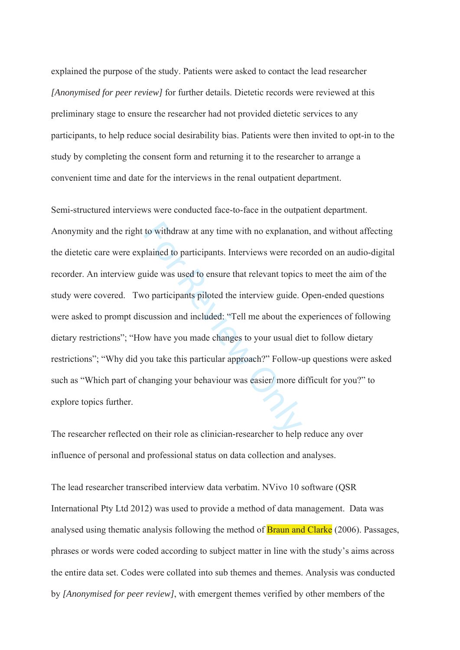explained the purpose of the study. Patients were asked to contact the lead researcher *[Anonymised for peer review]* for further details. Dietetic records were reviewed at this preliminary stage to ensure the researcher had not provided dietetic services to any participants, to help reduce social desirability bias. Patients were then invited to opt-in to the study by completing the consent form and returning it to the researcher to arrange a convenient time and date for the interviews in the renal outpatient department.

to withdraw at any time with no explanation<br>
blained to participants. Interviews were recevaled was used to ensure that relevant topics<br>
condition of the interview guide.<br>
Constants piloted the interview guide.<br>
Constants Semi-structured interviews were conducted face-to-face in the outpatient department. Anonymity and the right to withdraw at any time with no explanation, and without affecting the dietetic care were explained to participants. Interviews were recorded on an audio-digital recorder. An interview guide was used to ensure that relevant topics to meet the aim of the study were covered. Two participants piloted the interview guide. Open-ended questions were asked to prompt discussion and included: "Tell me about the experiences of following dietary restrictions"; "How have you made changes to your usual diet to follow dietary restrictions"; "Why did you take this particular approach?" Follow-up questions were asked such as "Which part of changing your behaviour was easier/ more difficult for you?" to explore topics further.

The researcher reflected on their role as clinician-researcher to help reduce any over influence of personal and professional status on data collection and analyses.

The lead researcher transcribed interview data verbatim. NVivo 10 software (QSR International Pty Ltd 2012) was used to provide a method of data management. Data was analysed using thematic analysis following the method of **Braun and Clarke** (2006). Passages, phrases or words were coded according to subject matter in line with the study's aims across the entire data set. Codes were collated into sub themes and themes. Analysis was conducted by *[Anonymised for peer review]*, with emergent themes verified by other members of the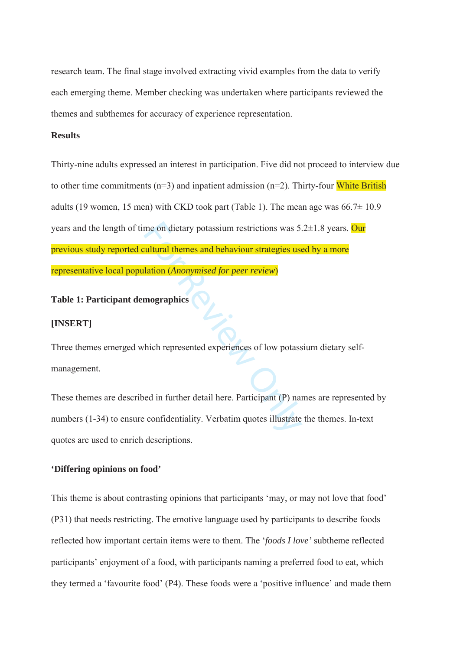research team. The final stage involved extracting vivid examples from the data to verify each emerging theme. Member checking was undertaken where participants reviewed the themes and subthemes for accuracy of experience representation.

# **Results**

me on dietary potassium restrictions was 5.<br> **Exabrican terms and behaviour strategies use**<br> **Interior (Anonymised for peer review)**<br> **Integrals in the presented experiences of low potass**<br> **Proper review)**<br> **Property in t** Thirty-nine adults expressed an interest in participation. Five did not proceed to interview due to other time commitments  $(n=3)$  and inpatient admission  $(n=2)$ . Thirty-four White British adults (19 women, 15 men) with CKD took part (Table 1). The mean age was  $66.7\pm 10.9$ years and the length of time on dietary potassium restrictions was  $5.2\pm1.8$  years. Our previous study reported cultural themes and behaviour strategies used by a more representative local population (*Anonymised for peer review*)

# **Table 1: Participant demographics**

#### **[INSERT]**

Three themes emerged which represented experiences of low potassium dietary selfmanagement.

These themes are described in further detail here. Participant (P) names are represented by numbers (1-34) to ensure confidentiality. Verbatim quotes illustrate the themes. In-text quotes are used to enrich descriptions.

# **'Differing opinions on food'**

This theme is about contrasting opinions that participants 'may, or may not love that food' (P31) that needs restricting. The emotive language used by participants to describe foods reflected how important certain items were to them. The '*foods I love'* subtheme reflected participants' enjoyment of a food, with participants naming a preferred food to eat, which they termed a 'favourite food' (P4). These foods were a 'positive influence' and made them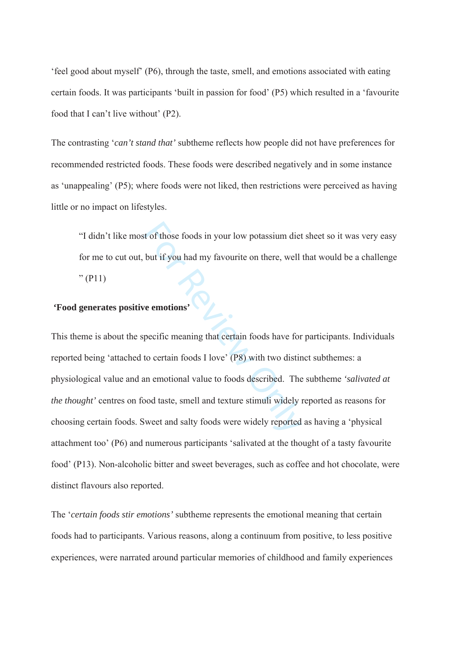'feel good about myself' (P6), through the taste, smell, and emotions associated with eating certain foods. It was participants 'built in passion for food' (P5) which resulted in a 'favourite food that I can't live without' (P2).

The contrasting '*can't stand that'* subtheme reflects how people did not have preferences for recommended restricted foods. These foods were described negatively and in some instance as 'unappealing' (P5); where foods were not liked, then restrictions were perceived as having little or no impact on lifestyles.

"I didn't like most of those foods in your low potassium diet sheet so it was very easy for me to cut out, but if you had my favourite on there, well that would be a challenge  $" (P11)$ 

# **'Food generates positive emotions'**

It of those foods in your low potassium diet<br>but if you had my favourite on there, well<br>but if you had my favourite on there, well<br>review on the emotions'<br>pecific meaning that certain foods have for<br>to certain foods I love This theme is about the specific meaning that certain foods have for participants. Individuals reported being 'attached to certain foods I love' (P8) with two distinct subthemes: a physiological value and an emotional value to foods described. The subtheme *'salivated at the thought'* centres on food taste, smell and texture stimuli widely reported as reasons for choosing certain foods. Sweet and salty foods were widely reported as having a 'physical attachment too' (P6) and numerous participants 'salivated at the thought of a tasty favourite food' (P13). Non-alcoholic bitter and sweet beverages, such as coffee and hot chocolate, were distinct flavours also reported.

The '*certain foods stir emotions'* subtheme represents the emotional meaning that certain foods had to participants. Various reasons, along a continuum from positive, to less positive experiences, were narrated around particular memories of childhood and family experiences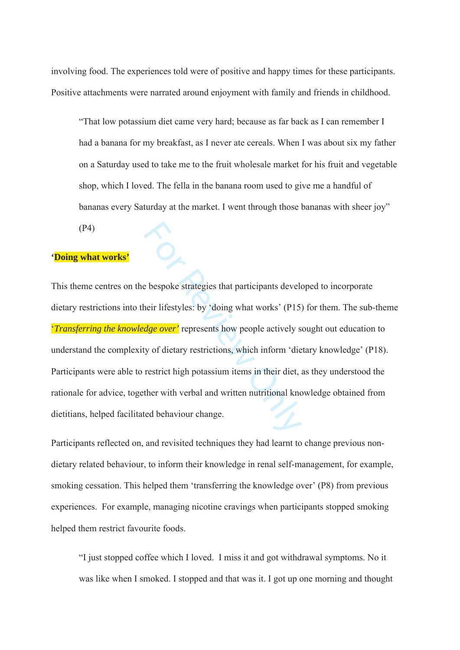involving food. The experiences told were of positive and happy times for these participants. Positive attachments were narrated around enjoyment with family and friends in childhood.

"That low potassium diet came very hard; because as far back as I can remember I had a banana for my breakfast, as I never ate cereals. When I was about six my father on a Saturday used to take me to the fruit wholesale market for his fruit and vegetable shop, which I loved. The fella in the banana room used to give me a handful of bananas every Saturday at the market. I went through those bananas with sheer joy"

(P4)

# **'Doing what works'**

Example 18 and the strategies that participants developed their lifestyles: by 'doing what works' (P15) dge over' represents how people actively so ty of dietary restrictions, which inform 'die restrict high potassium item This theme centres on the bespoke strategies that participants developed to incorporate dietary restrictions into their lifestyles: by 'doing what works' (P15) for them. The sub-theme '*Transferring the knowledge over'* represents how people actively sought out education to understand the complexity of dietary restrictions, which inform 'dietary knowledge' (P18). Participants were able to restrict high potassium items in their diet, as they understood the rationale for advice, together with verbal and written nutritional knowledge obtained from dietitians, helped facilitated behaviour change.

Participants reflected on, and revisited techniques they had learnt to change previous nondietary related behaviour, to inform their knowledge in renal self-management, for example, smoking cessation. This helped them 'transferring the knowledge over' (P8) from previous experiences. For example, managing nicotine cravings when participants stopped smoking helped them restrict favourite foods.

"I just stopped coffee which I loved. I miss it and got withdrawal symptoms. No it was like when I smoked. I stopped and that was it. I got up one morning and thought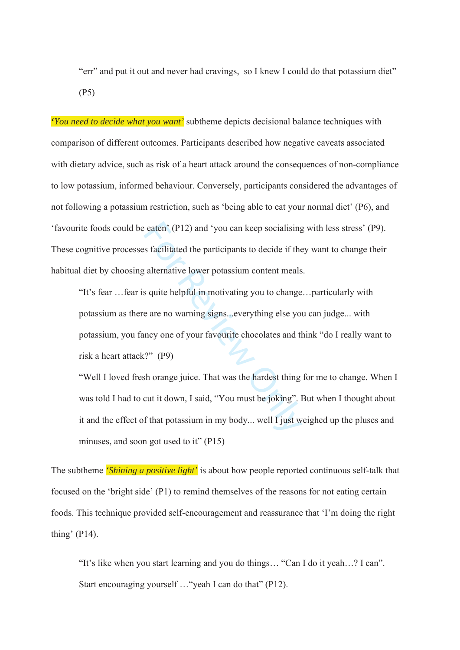"err" and put it out and never had cravings, so I knew I could do that potassium diet" (P5)

**'***You need to decide what you want'* subtheme depicts decisional balance techniques with comparison of different outcomes. Participants described how negative caveats associated with dietary advice, such as risk of a heart attack around the consequences of non-compliance to low potassium, informed behaviour. Conversely, participants considered the advantages of not following a potassium restriction, such as 'being able to eat your normal diet' (P6), and 'favourite foods could be eaten' (P12) and 'you can keep socialising with less stress' (P9). These cognitive processes facilitated the participants to decide if they want to change their habitual diet by choosing alternative lower potassium content meals.

Exercise the participants to decide if the satellitated the participants to decide if the satellitated the participants to decide if the satellitated the participants to decide if the satellitated by a squite helpful in m "It's fear …fear is quite helpful in motivating you to change…particularly with potassium as there are no warning signs...everything else you can judge... with potassium, you fancy one of your favourite chocolates and think "do I really want to risk a heart attack?" (P9)

"Well I loved fresh orange juice. That was the hardest thing for me to change. When I was told I had to cut it down, I said, "You must be joking". But when I thought about it and the effect of that potassium in my body... well I just weighed up the pluses and minuses, and soon got used to it" (P15)

focused on the 'bright side' (P1) to remind themselves of the reasons for not eating certain foods. This technique provided self-encouragement and reassurance that 'I'm doing the right thing' (P14). The subtheme *'Shining a positive light'* is about how people reported continuous self-talk that

"It's like when you start learning and you do things… "Can I do it yeah…? I can". Start encouraging yourself …"yeah I can do that" (P12).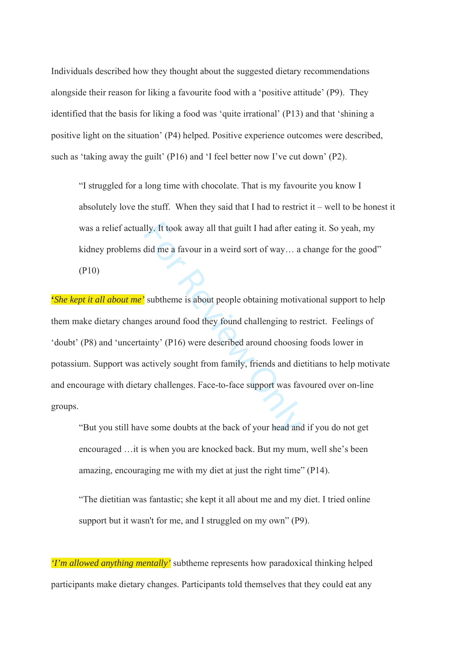Individuals described how they thought about the suggested dietary recommendations alongside their reason for liking a favourite food with a 'positive attitude' (P9). They identified that the basis for liking a food was 'quite irrational' (P13) and that 'shining a positive light on the situation' (P4) helped. Positive experience outcomes were described, such as 'taking away the guilt' (P16) and 'I feel better now I've cut down' (P2).

"I struggled for a long time with chocolate. That is my favourite you know I absolutely love the stuff. When they said that I had to restrict it – well to be honest it was a relief actually. It took away all that guilt I had after eating it. So yeah, my kidney problems did me a favour in a weird sort of way... a change for the good" (P10)

Ily. It took away all that guilt I had after ea<br>did me a favour in a weird sort of way... a<br>subtheme is about people obtaining motive<br>ges around food they found challenging to r<br>inty' (P16) were described around choosin<br>ac **'***She kept it all about me'* subtheme is about people obtaining motivational support to help them make dietary changes around food they found challenging to restrict. Feelings of 'doubt' (P8) and 'uncertainty' (P16) were described around choosing foods lower in potassium. Support was actively sought from family, friends and dietitians to help motivate and encourage with dietary challenges. Face-to-face support was favoured over on-line groups.

"But you still have some doubts at the back of your head and if you do not get encouraged …it is when you are knocked back. But my mum, well she's been amazing, encouraging me with my diet at just the right time" (P14).

"The dietitian was fantastic; she kept it all about me and my diet. I tried online support but it wasn't for me, and I struggled on my own" (P9).

*'I'm allowed anything mentally'* subtheme represents how paradoxical thinking helped participants make dietary changes. Participants told themselves that they could eat any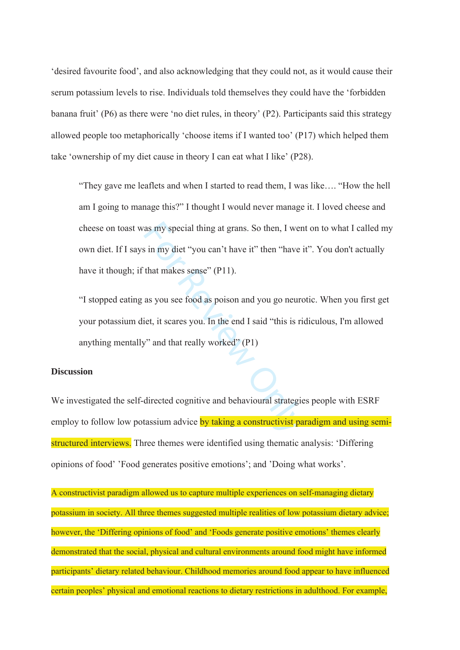'desired favourite food', and also acknowledging that they could not, as it would cause their serum potassium levels to rise. Individuals told themselves they could have the 'forbidden banana fruit' (P6) as there were 'no diet rules, in theory' (P2). Participants said this strategy allowed people too metaphorically 'choose items if I wanted too' (P17) which helped them take 'ownership of my diet cause in theory I can eat what I like' (P28).

as my special thing at grans. So then, I were<br>s in my diet "you can't have it" then "have<br>that makes sense" (P11).<br>as you see food as poison and you go neuro<br>iet, it scares you. In the end I said "this is ri<br>"" and that r "They gave me leaflets and when I started to read them, I was like…. "How the hell am I going to manage this?" I thought I would never manage it. I loved cheese and cheese on toast was my special thing at grans. So then, I went on to what I called my own diet. If I says in my diet "you can't have it" then "have it". You don't actually have it though; if that makes sense" (P11).

"I stopped eating as you see food as poison and you go neurotic. When you first get your potassium diet, it scares you. In the end I said "this is ridiculous, I'm allowed anything mentally" and that really worked" (P1)

#### **Discussion**

We investigated the self-directed cognitive and behavioural strategies people with ESRF employ to follow low potassium advice by taking a constructivist paradigm and using semistructured interviews. Three themes were identified using thematic analysis: 'Differing opinions of food' 'Food generates positive emotions'; and 'Doing what works'.

A constructivist paradigm allowed us to capture multiple experiences on self-managing dietary potassium in society. All three themes suggested multiple realities of low potassium dietary advice; however, the 'Differing opinions of food' and 'Foods generate positive emotions' themes clearly demonstrated that the social, physical and cultural environments around food might have informed participants' dietary related behaviour. Childhood memories around food appear to have influenced certain peoples' physical and emotional reactions to dietary restrictions in adulthood. For example,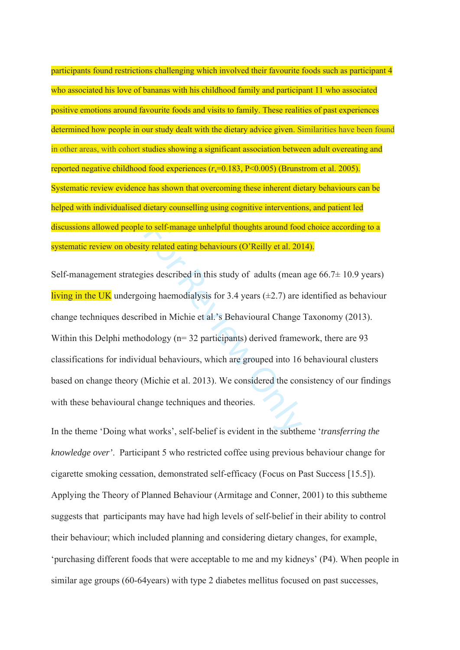participants found restrictions challenging which involved their favourite foods such as participant 4 who associated his love of bananas with his childhood family and participant 11 who associated positive emotions around favourite foods and visits to family. These realities of past experiences determined how people in our study dealt with the dietary advice given. Similarities have been found in other areas, with cohort studies showing a significant association between adult overeating and reported negative childhood food experiences ( *r* s=0.183, P<0.005) (Brunstrom et al. 2005). Systematic review evidence has shown that overcoming these inherent dietary behaviours can be helped with individualised dietary counselling using cognitive interventions, and patient led discussions allowed people to self-manage unhelpful thoughts around food choice according to a systematic review on obesity related eating behaviours (O'Reilly et al. 2014).

to self-manage unhelpful thoughts around footny related eating behaviours (O'Reilly et al. 20)<br>ies described in this study of adults (mean<br>ing haemodialysis for 3.4 years  $(\pm 2.7)$  are i<br>bed in Michie et al.'s Behavioural Self-management strategies described in this study of adults (mean age  $66.7 \pm 10.9$  years) living in the UK undergoing haemodialysis for 3.4 years  $(\pm 2.7)$  are identified as behaviour change techniques described in Michie et al.'s Behavioural Change Taxonomy (2013). Within this Delphi methodology (n= 32 participants) derived framework, there are 93 classifications for individual behaviours, which are grouped into 16 behavioural clusters based on change theory (Michie et al. 2013). We considered the consistency of our findings with these behavioural change techniques and theories.

In the theme 'Doing what works', self-belief is evident in the subtheme '*transferring the knowledge over'*. Participant 5 who restricted coffee using previous behaviour change for cigarette smoking cessation, demonstrated self-efficacy (Focus on Past Success [15.5]). Applying the Theory of Planned Behaviour (Armitage and Conner, 2001) to this subtheme suggests that participants may have had high levels of self-belief in their ability to control their behaviour; which included planning and considering dietary changes, for example, 'purchasing different foods that were acceptable to me and my kidneys' (P4). When people in similar age groups (60-64years) with type 2 diabetes mellitus focused on past successes,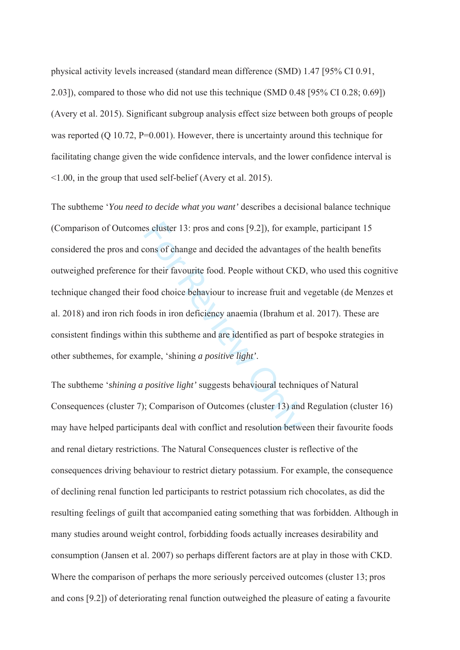physical activity levels increased (standard mean difference (SMD) 1.47 [95% CI 0.91, 2.03]), compared to those who did not use this technique (SMD 0.48 [95% CI 0.28; 0.69]) (Avery et al. 2015). Significant subgroup analysis effect size between both groups of people was reported (Q 10.72, P=0.001). However, there is uncertainty around this technique for facilitating change given the wide confidence intervals, and the lower confidence interval is <1.00, in the group that used self-belief (Avery et al. 2015).

Examples and conservations (9.2)), for examples and conserved conserved conserved and decided the advantages or their favourite food. People without CKI food choice behaviour to increase fruit and ods in iron deficiency an The subtheme '*You need to decide what you want'* describes a decisional balance technique (Comparison of Outcomes cluster 13: pros and cons [9.2]), for example, participant 15 considered the pros and cons of change and decided the advantages of the health benefits outweighed preference for their favourite food. People without CKD, who used this cognitive technique changed their food choice behaviour to increase fruit and vegetable (de Menzes et al. 2018) and iron rich foods in iron deficiency anaemia (Ibrahum et al. 2017). These are consistent findings within this subtheme and are identified as part of bespoke strategies in other subthemes, for example, 'shining *a positive light'*.

The subtheme '*shining a positive light'* suggests behavioural techniques of Natural Consequences (cluster 7); Comparison of Outcomes (cluster 13) and Regulation (cluster 16) may have helped participants deal with conflict and resolution between their favourite foods and renal dietary restrictions. The Natural Consequences cluster is reflective of the consequences driving behaviour to restrict dietary potassium. For example, the consequence of declining renal function led participants to restrict potassium rich chocolates, as did the resulting feelings of guilt that accompanied eating something that was forbidden. Although in many studies around weight control, forbidding foods actually increases desirability and consumption (Jansen et al. 2007) so perhaps different factors are at play in those with CKD. Where the comparison of perhaps the more seriously perceived outcomes (cluster 13; pros and cons [9.2]) of deteriorating renal function outweighed the pleasure of eating a favourite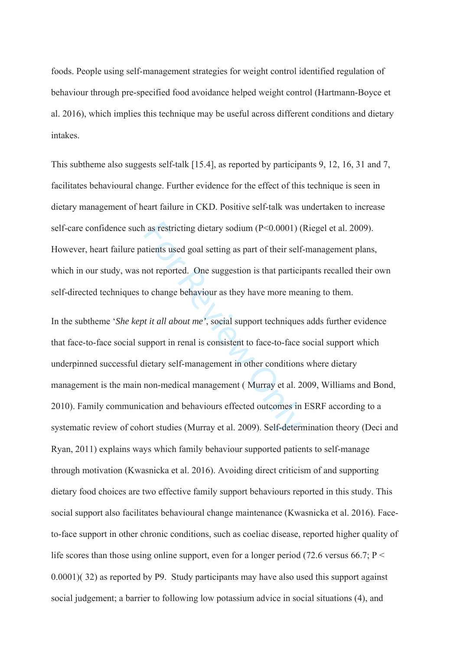foods. People using self-management strategies for weight control identified regulation of behaviour through pre-specified food avoidance helped weight control (Hartmann-Boyce et al. 2016), which implies this technique may be useful across different conditions and dietary intakes.

This subtheme also suggests self-talk [15.4], as reported by participants 9, 12, 16, 31 and 7, facilitates behavioural change. Further evidence for the effect of this technique is seen in dietary management of heart failure in CKD. Positive self-talk was undertaken to increase self-care confidence such as restricting dietary sodium (P<0.0001) (Riegel et al. 2009). However, heart failure patients used goal setting as part of their self-management plans, which in our study, was not reported. One suggestion is that participants recalled their own self-directed techniques to change behaviour as they have more meaning to them.

as restricting dietary sodium (P<0.0001) (<br>atients used goal setting as part of their self<br>not reported. One suggestion is that partici;<br>co change behaviour as they have more measurement<br>of the title and the title and the In the subtheme '*She kept it all about me'*, social support techniques adds further evidence that face-to-face social support in renal is consistent to face-to-face social support which underpinned successful dietary self-management in other conditions where dietary management is the main non-medical management ( Murray et al. 2009, Williams and Bond, 2010). Family communication and behaviours effected outcomes in ESRF according to a systematic review of cohort studies (Murray et al. 2009). Self-determination theory (Deci and Ryan, 2011) explains ways which family behaviour supported patients to self-manage through motivation (Kwasnicka et al. 2016). Avoiding direct criticism of and supporting dietary food choices are two effective family support behaviours reported in this study. This social support also facilitates behavioural change maintenance (Kwasnicka et al. 2016). Faceto-face support in other chronic conditions, such as coeliac disease, reported higher quality of life scores than those using online support, even for a longer period (72.6 versus 66.7;  $P \le$ 0.0001)( 32) as reported by P9. Study participants may have also used this support against social judgement; a barrier to following low potassium advice in social situations (4), and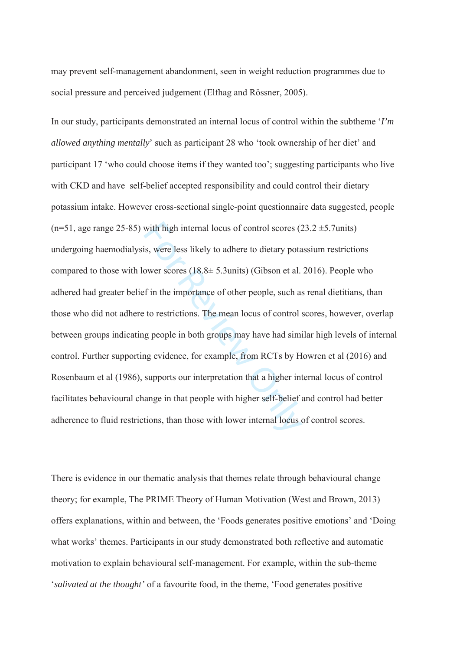may prevent self-management abandonment, seen in weight reduction programmes due to social pressure and perceived judgement (Elfhag and Rössner, 2005).

with high internal locus of control scores (2<br>is, were less likely to adhere to dietary pota<br>ower scores (18.8± 5.3 units) (Gibson et al.<br>f in the importance of other people, such as<br>to restrictions. The mean locus of cont In our study, participants demonstrated an internal locus of control within the subtheme '*I'm allowed anything mentally*' such as participant 28 who 'took ownership of her diet' and participant 17 'who could choose items if they wanted too'; suggesting participants who live with CKD and have self-belief accepted responsibility and could control their dietary potassium intake. However cross-sectional single-point questionnaire data suggested, people  $(n=51,$  age range 25-85) with high internal locus of control scores  $(23.2 \pm 5.7)$ units) undergoing haemodialysis, were less likely to adhere to dietary potassium restrictions compared to those with lower scores  $(18.8 \pm 5.3 \text{units})$  (Gibson et al. 2016). People who adhered had greater belief in the importance of other people, such as renal dietitians, than those who did not adhere to restrictions. The mean locus of control scores, however, overlap between groups indicating people in both groups may have had similar high levels of internal control. Further supporting evidence, for example, from RCTs by Howren et al (2016) and Rosenbaum et al (1986), supports our interpretation that a higher internal locus of control facilitates behavioural change in that people with higher self-belief and control had better adherence to fluid restrictions, than those with lower internal locus of control scores.

There is evidence in our thematic analysis that themes relate through behavioural change theory; for example, The PRIME Theory of Human Motivation (West and Brown, 2013) offers explanations, within and between, the 'Foods generates positive emotions' and 'Doing what works' themes. Participants in our study demonstrated both reflective and automatic motivation to explain behavioural self-management. For example, within the sub-theme '*salivated at the thought'* of a favourite food, in the theme, 'Food generates positive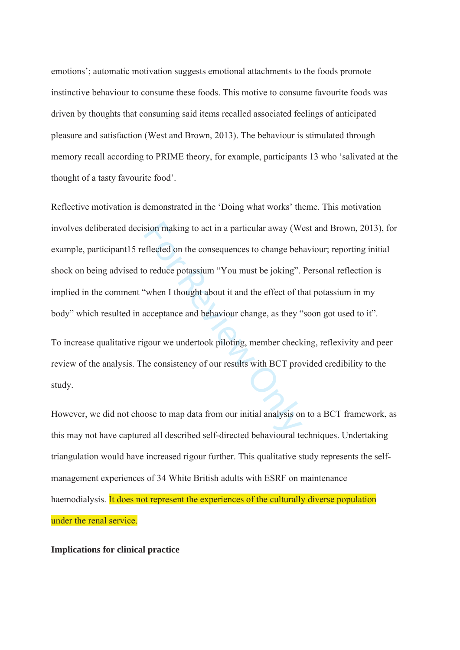emotions'; automatic motivation suggests emotional attachments to the foods promote instinctive behaviour to consume these foods. This motive to consume favourite foods was driven by thoughts that consuming said items recalled associated feelings of anticipated pleasure and satisfaction (West and Brown, 2013). The behaviour is stimulated through memory recall according to PRIME theory, for example, participants 13 who 'salivated at the thought of a tasty favourite food'.

sion making to act in a particular away (We<br>eflected on the consequences to change beh<br>o reduce potassium "You must be joking".<br>"When I thought about it and the effect of th<br>acceptance and behaviour change, as they"<br>gour w Reflective motivation is demonstrated in the 'Doing what works' theme. This motivation involves deliberated decision making to act in a particular away (West and Brown, 2013), for example, participant15 reflected on the consequences to change behaviour; reporting initial shock on being advised to reduce potassium "You must be joking". Personal reflection is implied in the comment "when I thought about it and the effect of that potassium in my body" which resulted in acceptance and behaviour change, as they "soon got used to it".

To increase qualitative rigour we undertook piloting, member checking, reflexivity and peer review of the analysis. The consistency of our results with BCT provided credibility to the study.

However, we did not choose to map data from our initial analysis on to a BCT framework, as this may not have captured all described self-directed behavioural techniques. Undertaking triangulation would have increased rigour further. This qualitative study represents the selfmanagement experiences of 34 White British adults with ESRF on maintenance haemodialysis. It does not represent the experiences of the culturally diverse population under the renal service.

#### **Implications for clinical practice**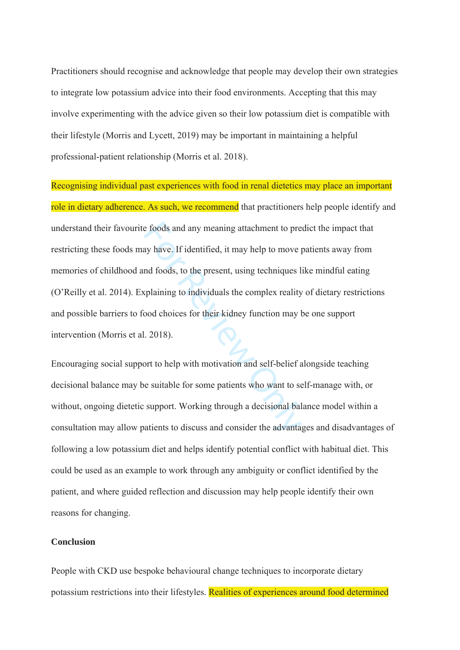Practitioners should recognise and acknowledge that people may develop their own strategies to integrate low potassium advice into their food environments. Accepting that this may involve experimenting with the advice given so their low potassium diet is compatible with their lifestyle (Morris and Lycett, 2019) may be important in maintaining a helpful professional-patient relationship (Morris et al. 2018).

e foods and any meaning attachment to pre<br>ay have. If identified, it may help to move p<br>nd foods, to the present, using techniques l<br>xplaining to individuals the complex reality<br>iood choices for their kidney function may l Recognising individual past experiences with food in renal dietetics may place an important role in dietary adherence. As such, we recommend that practitioners help people identify and understand their favourite foods and any meaning attachment to predict the impact that restricting these foods may have. If identified, it may help to move patients away from memories of childhood and foods, to the present, using techniques like mindful eating (O'Reilly et al. 2014). Explaining to individuals the complex reality of dietary restrictions and possible barriers to food choices for their kidney function may be one support intervention (Morris et al. 2018).

Encouraging social support to help with motivation and self-belief alongside teaching decisional balance may be suitable for some patients who want to self-manage with, or without, ongoing dietetic support. Working through a decisional balance model within a consultation may allow patients to discuss and consider the advantages and disadvantages of following a low potassium diet and helps identify potential conflict with habitual diet. This could be used as an example to work through any ambiguity or conflict identified by the patient, and where guided reflection and discussion may help people identify their own reasons for changing.

# **Conclusion**

People with CKD use bespoke behavioural change techniques to incorporate dietary potassium restrictions into their lifestyles. Realities of experiences around food determined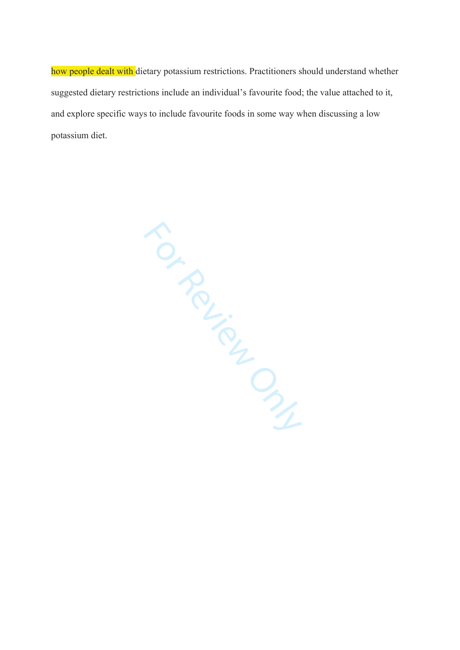how people dealt with dietary potassium restrictions. Practitioners should understand whether suggested dietary restrictions include an individual's favourite food; the value attached to it, and explore specific ways to include favourite foods in some way when discussing a low potassium diet.

For Review Only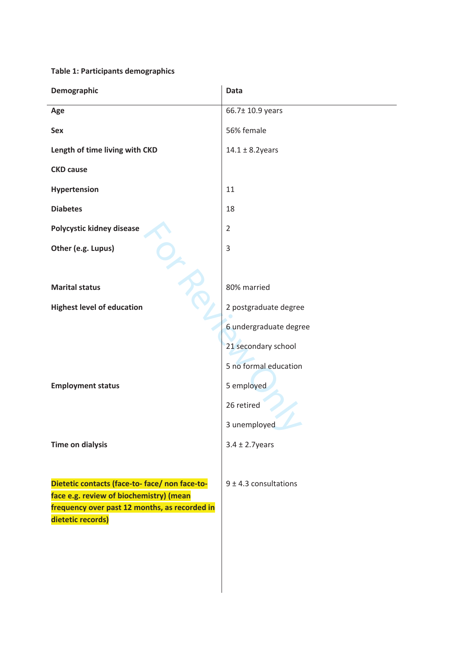# **Table 1: Participants demographics**

| Demographic                                                                              | <b>Data</b>               |
|------------------------------------------------------------------------------------------|---------------------------|
| Age                                                                                      | 66.7± 10.9 years          |
| Sex                                                                                      | 56% female                |
| Length of time living with CKD                                                           | $14.1 \pm 8.2$ years      |
| <b>CKD cause</b>                                                                         |                           |
| Hypertension                                                                             | 11                        |
| <b>Diabetes</b>                                                                          | 18                        |
| Polycystic kidney disease                                                                | $\overline{2}$            |
| Other (e.g. Lupus)                                                                       | 3                         |
|                                                                                          |                           |
| <b>Marital status</b>                                                                    | 80% married               |
| <b>Highest level of education</b>                                                        | 2 postgraduate degree     |
|                                                                                          | 6 undergraduate degree    |
|                                                                                          | 21 secondary school       |
|                                                                                          | 5 no formal education     |
| <b>Employment status</b>                                                                 | 5 employed                |
|                                                                                          | 26 retired                |
|                                                                                          | 3 unemployed              |
| <b>Time on dialysis</b>                                                                  | $3.4 \pm 2.7$ years       |
|                                                                                          |                           |
| Dietetic contacts (face-to-face/non face-to-                                             | $9 \pm 4.3$ consultations |
| face e.g. review of biochemistry) (mean<br>frequency over past 12 months, as recorded in |                           |
| dietetic records)                                                                        |                           |
|                                                                                          |                           |
|                                                                                          |                           |
|                                                                                          |                           |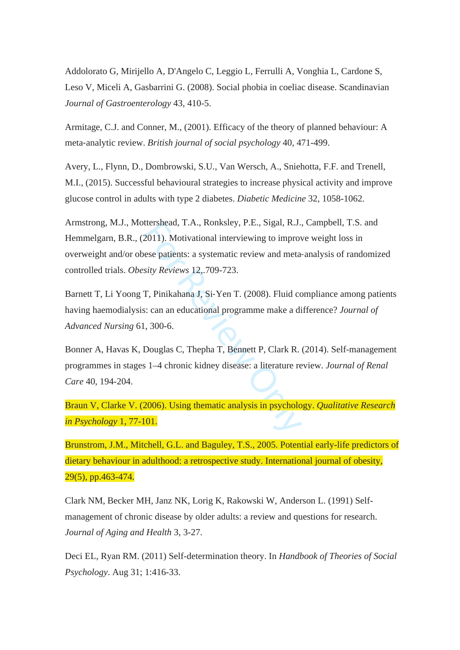Addolorato G, Mirijello A, D'Angelo C, Leggio L, Ferrulli A, Vonghia L, Cardone S, Leso V, Miceli A, Gasbarrini G. (2008). Social phobia in coeliac disease. Scandinavian *Journal of Gastroenterology* 43, 410-5.

Armitage, C.J. and Conner, M., (2001). Efficacy of the theory of planned behaviour: A meta ‐analytic review. *British journal of social psychology* 40, 471-499.

Avery, L., Flynn, D., Dombrowski, S.U., Van Wersch, A., Sniehotta, F.F. and Trenell, M.I., (2015). Successful behavioural strategies to increase physical activity and improve glucose control in adults with type 2 diabetes. *Diabetic Medicine* 32*,* 1058-1062.

ttershead, 1.A., Konksley, P.E., Sigal, R.J., 2011). Motivational interviewing to improvese patients: a systematic review and meta-<br>sity Reviews 12,.709-723.<br>T, Pinikahana J, Si-Yen T. (2008). Fluid cc<br>s: can an educationa Armstrong, M.J., Mottershead, T.A., Ronksley, P.E., Sigal, R.J., Campbell, T.S. and Hemmelgarn, B.R., (2011). Motivational interviewing to improve weight loss in overweight and/or obese patients: a systematic review and meta ‐analysis of randomized controlled trials. *Obesity Reviews* 12 *,*.709-723.

Barnett T, Li Yoong T, Pinikahana J, Si ‐Yen T. (2008). Fluid compliance among patients having haemodialysis: can an educational programme make a difference? *Journal of Advanced Nursing* 61, 300-6.

Bonner A, Havas K, Douglas C, Thepha T, Bennett P, Clark R. (2014). Self-management programmes in stages 1–4 chronic kidney disease: a literature review. *Journal of Renal Care* 40, 194-204.

Braun V, Clarke V. (2006). Using thematic analysis in psychology. *Qualitative Research in Psychology* 1, 77-101.

Brunstrom, J.M., Mitchell, G.L. and Baguley, T.S., 2005. Potential early-life predictors of dietary behaviour in adulthood: a retrospective study. International journal of obesity, 29(5), pp.463-474.

Clark NM, Becker MH, Janz NK, Lorig K, Rakowski W, Anderson L. (1991) Selfmanagement of chronic disease by older adults: a review and questions for research. *Journal of Aging and Health* 3, 3-27.

Deci EL, Ryan RM. (2011) Self-determination theory. In *Handbook of Theories of Social Psychology*. Aug 31; 1:416-33.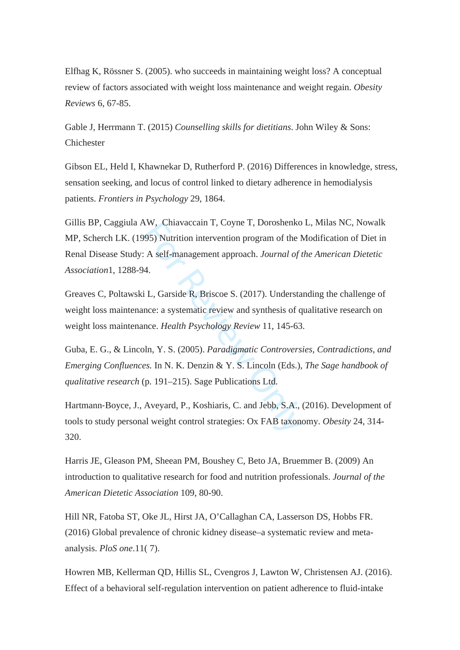Elfhag K, Rössner S. (2005). who succeeds in maintaining weight loss? A conceptual review of factors associated with weight loss maintenance and weight regain. *Obesity Reviews* 6, 67-85.

Gable J, Herrmann T. (2015) *Counselling skills for dietitians*. John Wiley & Sons: Chichester

Gibson EL, Held I, Khawnekar D, Rutherford P. (2016) Differences in knowledge, stress, sensation seeking, and locus of control linked to dietary adherence in hemodialysis patients. *Frontiers in Psychology* 29, 1864.

XW, Chiavaceain 1, Coyne 1, Doroshenko<br>
95) Nutrition intervention program of the M<br>
A self-management approach. Journal of the<br>
4.<br>
i L, Garside R, Briscoe S. (2017). Understa<br>
nce: a systematic review and synthesis of q<br> Gillis BP, Caggiula AW, Chiavaccain T, Coyne T, Doroshenko L, Milas NC, Nowalk MP, Scherch LK. (1995) Nutrition intervention program of the Modification of Diet in Renal Disease Study: A self-management approach. *Journal of the American Dietetic Association*1, 1288-94.

Greaves C, Poltawski L, Garside R, Briscoe S. (2017). Understanding the challenge of weight loss maintenance: a systematic review and synthesis of qualitative research on weight loss maintenance. *Health Psychology Review* 11, 145-63.

Guba, E. G., & Lincoln, Y. S. (2005). *Paradigmatic Controversies, Contradictions, and Emerging Confluences.* In N. K. Denzin & Y. S. Lincoln (Eds.), *The Sage handbook of qualitative research* (p. 191–215). Sage Publications Ltd.

Hartmann ‐Boyce, J., Aveyard, P., Koshiaris, C. and Jebb, S.A., (2016). Development of tools to study personal weight control strategies: Ox FAB taxonomy. *Obesity* 24, 314- 320.

Harris JE, Gleason PM, Sheean PM, Boushey C, Beto JA, Bruemmer B. (2009) An introduction to qualitative research for food and nutrition professionals. *Journal of the American Dietetic Association* 109, 80-90.

Hill NR, Fatoba ST, Oke JL, Hirst JA, O'Callaghan CA, Lasserson DS, Hobbs FR. (2016) Global prevalence of chronic kidney disease–a systematic review and metaanalysis. *PloS one*.11( 7).

Howren MB, Kellerman QD, Hillis SL, Cvengros J, Lawton W, Christensen AJ. (2016). Effect of a behavioral self-regulation intervention on patient adherence to fluid-intake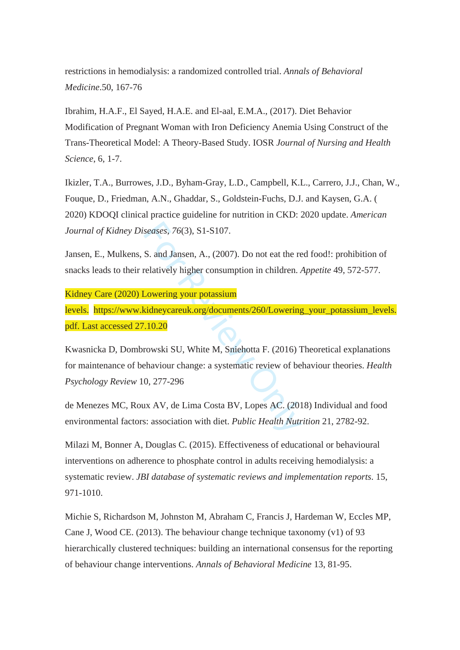restrictions in hemodialysis: a randomized controlled trial. *Annals of Behavioral Medicine*.50, 167-76

Ibrahim, H.A.F., El Sayed, H.A.E. and El-aal, E.M.A., (2017). Diet Behavior Modification of Pregnant Woman with Iron Deficiency Anemia Using Construct of the Trans-Theoretical Model: A Theory-Based Study. IOSR *Journal of Nursing and Health Science*, 6, 1-7.

Ikizler, T.A., Burrowes, J.D., Byham-Gray, L.D., Campbell, K.L., Carrero, J.J., Chan, W., Fouque, D., Friedman, A.N., Ghaddar, S., Goldstein-Fuchs, D.J. and Kaysen, G.A. ( 2020) KDOQI clinical practice guideline for nutrition in CKD: 2020 update. *American Journal of Kidney Diseases*, *76*(3), S1-S107.

Jansen, E., Mulkens, S. and Jansen, A., (2007). Do not eat the red food!: prohibition of snacks leads to their relatively higher consumption in children. *Appetite* 49, 572-577.

Kidney Care (2020) Lowering your potassium

levels. https://www.kidneycareuk.org/documents/260/Lowering\_your\_potassium\_levels. pdf. Last accessed 27.10.20

seases, 76(3), S1-S107.<br>
S. and Jansen, A., (2007). Do not eat the re-<br>
relatively higher consumption in children. A<br>
Lowering your potassium<br>
idneycareuk.org/documents/260/Lowering<br>
10.20<br>
rowski SU, White M, Sniehotta F. Kwasnicka D, Dombrowski SU, White M, Sniehotta F. (2016) Theoretical explanations for maintenance of behaviour change: a systematic review of behaviour theories. *Health Psychology Review* 10, 277-296

de Menezes MC, Roux AV, de Lima Costa BV, Lopes AC. (2018) Individual and food environmental factors: association with diet. *Public Health Nutrition* 21, 2782-92.

Milazi M, Bonner A, Douglas C. (2015). Effectiveness of educational or behavioural interventions on adherence to phosphate control in adults receiving hemodialysis: a systematic review. *JBI database of systematic reviews and implementation reports*. 15, 971-1010.

Michie S, Richardson M, Johnston M, Abraham C, Francis J, Hardeman W, Eccles MP, Cane J, Wood CE. (2013). The behaviour change technique taxonomy (v1) of 93 hierarchically clustered techniques: building an international consensus for the reporting of behaviour change interventions. *Annals of Behavioral Medicine* 13, 81-95.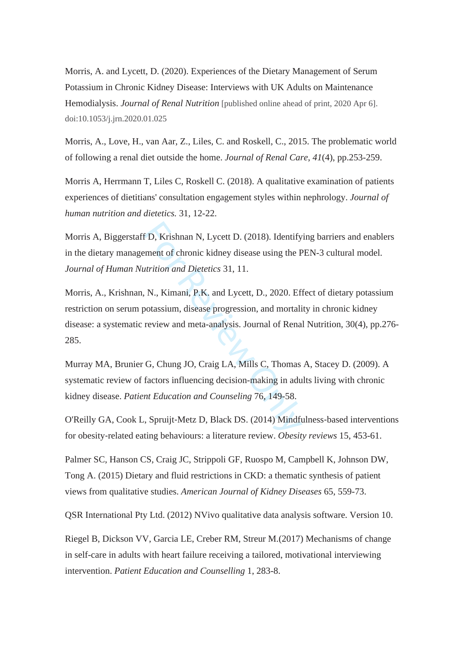Morris, A. and Lycett, D. (2020). Experiences of the Dietary Management of Serum Potassium in Chronic Kidney Disease: Interviews with UK Adults on Maintenance Hemodialysis. *Journal of Renal Nutrition* [published online ahead of print, 2020 Apr 6]. doi:10.1053/j.jrn.2020.01.025

Morris, A., Love, H., van Aar, Z., Liles, C. and Roskell, C., 2015. The problematic world of following a renal diet outside the home. *Journal of Renal Care*, *41*(4), pp.253-259.

Morris A, Herrmann T, Liles C, Roskell C. (2018). A qualitative examination of patients experiences of dietitians' consultation engagement styles within nephrology. *Journal of human nutrition and dietetics.* 31, 12-22.

Morris A, Biggerstaff D, Krishnan N, Lycett D. (2018). Identifying barriers and enablers in the dietary management of chronic kidney disease using the PEN-3 cultural model. *Journal of Human Nutrition and Dietetics* 31, 11.

f D, Krishnan N, Lycett D. (2018). Identify<br>
ement of chronic kidney disease using the F<br>
utrition and Dietetics 31, 11.<br>
N., Kimani, P.K. and Lycett, D., 2020. Ef:<br>
potassium, disease progression, and mortali<br>
review and Morris, A., Krishnan, N., Kimani, P.K. and Lycett, D., 2020. Effect of dietary potassium restriction on serum potassium, disease progression, and mortality in chronic kidney disease: a systematic review and meta-analysis. Journal of Renal Nutrition, 30(4), pp.276- 285.

Murray MA, Brunier G, Chung JO, Craig LA, Mills C, Thomas A, Stacey D. (2009). A systematic review of factors influencing decision-making in adults living with chronic kidney disease. *Patient Education and Counseling* 76, 149-58.

O'Reilly GA, Cook L, Spruijt ‐Metz D, Black DS. (2014) Mindfulness ‐based interventions for obesity ‐related eating behaviours: a literature review. *Obesity reviews* 15, 453-61.

Palmer SC, Hanson CS, Craig JC, Strippoli GF, Ruospo M, Campbell K, Johnson DW, Tong A. (2015) Dietary and fluid restrictions in CKD: a thematic synthesis of patient views from qualitative studies. *American Journal of Kidney Diseases* 65, 559-73.

QSR International Pty Ltd. (2012) NVivo qualitative data analysis software. Version 10.

Riegel B, Dickson VV, Garcia LE, Creber RM, Streur M.(2017) Mechanisms of change in self-care in adults with heart failure receiving a tailored, motivational interviewing intervention. *Patient Education and Counselling* 1, 283-8.